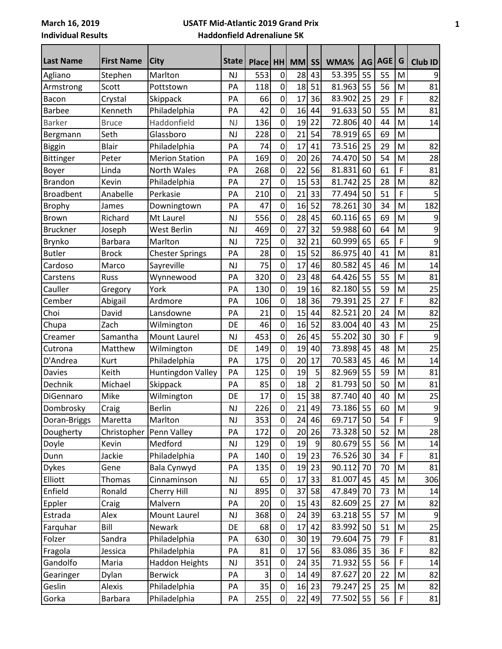## **USATF Mid-Atlantic 2019 Grand Prix Haddonfield Adrenaliune 5K**

| Last Name        | <b>First Name</b> | City                   | <b>State</b> | <b>Place</b> | <b>HH</b>      | <b>MM</b> | <b>SS</b>      | WMA%      | AG | <b>AGE</b> | G           | <b>Club ID</b>   |
|------------------|-------------------|------------------------|--------------|--------------|----------------|-----------|----------------|-----------|----|------------|-------------|------------------|
| Agliano          | Stephen           | Marlton                | <b>NJ</b>    | 553          | 0              | 28        | 43             | 53.395    | 55 | 55         | M           | 9                |
| Armstrong        | Scott             | Pottstown              | PA           | 118          | $\overline{0}$ | 18        | 51             | 81.963    | 55 | 56         | M           | 81               |
| Bacon            | Crystal           | Skippack               | PA           | 66           | $\overline{0}$ | 17        | 36             | 83.902    | 25 | 29         | F           | 82               |
| <b>Barbee</b>    | Kenneth           | Philadelphia           | PA           | 42           | $\overline{0}$ | 16        | 44             | 91.633    | 50 | 55         | M           | 81               |
| <b>Barker</b>    | <b>Bruce</b>      | Haddonfield            | <b>NJ</b>    | 136          | $\overline{0}$ | 19        | 22             | 72.806    | 40 | 44         | M           | 14               |
| Bergmann         | Seth              | Glassboro              | <b>NJ</b>    | 228          | 0              | 21        | 54             | 78.919    | 65 | 69         | M           |                  |
| Biggin           | <b>Blair</b>      | Philadelphia           | PA           | 74           | $\overline{0}$ | 17        | 41             | 73.516    | 25 | 29         | M           | 82               |
| <b>Bittinger</b> | Peter             | <b>Merion Station</b>  | PA           | 169          | 0              | 20        | 26             | 74.470    | 50 | 54         | M           | 28               |
| Boyer            | Linda             | North Wales            | PA           | 268          | 0              | 22        | 56             | 81.831    | 60 | 61         | F           | 81               |
| <b>Brandon</b>   | Kevin             | Philadelphia           | PA           | 27           | $\overline{0}$ | 15        | 53             | 81.742    | 25 | 28         | M           | 82               |
| <b>Broadbent</b> | Anabelle          | Perkasie               | PA           | 210          | $\overline{0}$ | 21        | 33             | 77.494    | 50 | 51         | F           | 5                |
| <b>Brophy</b>    | James             | Downingtown            | PA           | 47           | $\overline{0}$ | 16        | 52             | 78.261    | 30 | 34         | M           | 182              |
| <b>Brown</b>     | Richard           | Mt Laurel              | NJ           | 556          | 0              | 28        | 45             | 60.116    | 65 | 69         | M           | 9                |
| <b>Bruckner</b>  | Joseph            | West Berlin            | <b>NJ</b>    | 469          | 0              | 27        | 32             | 59.988    | 60 | 64         | M           | 9                |
| <b>Brynko</b>    | <b>Barbara</b>    | Marlton                | <b>NJ</b>    | 725          | 0              | 32        | 21             | 60.999    | 65 | 65         | F           | 9                |
| <b>Butler</b>    | <b>Brock</b>      | <b>Chester Springs</b> | PA           | 28           | $\overline{0}$ | 15        | 52             | 86.975    | 40 | 41         | M           | 81               |
| Cardoso          | Marco             | Sayreville             | <b>NJ</b>    | 75           | $\overline{0}$ | 17        | 46             | 80.582    | 45 | 46         | M           | 14               |
| Carstens         | Russ              | Wynnewood              | PA           | 320          | 0              | 23        | 48             | 64.426    | 55 | 55         | M           | 81               |
| Cauller          | Gregory           | York                   | PA           | 130          | 0              | 19        | 16             | 82.180    | 55 | 59         | M           | 25               |
| Cember           | Abigail           | Ardmore                | PA           | 106          | 0              | 18        | 36             | 79.391    | 25 | 27         | F           | 82               |
| Choi             | David             | Lansdowne              | PA           | 21           | $\overline{0}$ | 15        | 44             | 82.521    | 20 | 24         | M           | 82               |
| Chupa            | Zach              | Wilmington             | DE           | 46           | $\overline{0}$ | 16        | 52             | 83.004    | 40 | 43         | M           | 25               |
| Creamer          | Samantha          | Mount Laurel           | <b>NJ</b>    | 453          | $\overline{0}$ | 26        | 45             | 55.202    | 30 | 30         | F           | 9                |
| Cutrona          | Matthew           | Wilmington             | DE           | 149          | $\overline{0}$ | 19        | 40             | 73.898    | 45 | 48         | M           | 25               |
| D'Andrea         | Kurt              | Philadelphia           | PA           | 175          | 0              | 20        | 17             | 70.583    | 45 | 46         | M           | 14               |
| <b>Davies</b>    | Keith             | Huntingdon Valley      | PA           | 125          | $\overline{0}$ | 19        | 5              | 82.969    | 55 | 59         | M           | 81               |
| Dechnik          | Michael           | Skippack               | PA           | 85           | $\mathbf 0$    | 18        | $\overline{2}$ | 81.793    | 50 | 50         | M           | 81               |
| DiGennaro        | Mike              | Wilmington             | DE           | 17           | $\overline{0}$ | 15        | 38             | 87.740    | 40 | 40         | M           | 25               |
| Dombrosky        | Craig             | Berlin                 | <b>NJ</b>    | 226          | 0l             | 21        | 49             | 73.186    | 55 | 60         | M           | 9                |
| Doran-Briggs     | Maretta           | Marlton                | <b>NJ</b>    | 353          | $\overline{0}$ | 24        | 46             | 69.717    | 50 | 54         | F           | $\boldsymbol{9}$ |
| Dougherty        | Christopher       | Penn Valley            | PA           | 172          | $\overline{0}$ | 20        | 26             | 73.328    | 50 | 52         | M           | 28               |
| Doyle            | Kevin             | Medford                | NJ           | 129          | $\overline{0}$ | 19        | 9              | 80.679    | 55 | 56         | M           | 14               |
| Dunn             | Jackie            | Philadelphia           | PA           | 140          | $\overline{0}$ | 19        | 23             | 76.526    | 30 | 34         | $\mathsf F$ | 81               |
| <b>Dykes</b>     | Gene              | Bala Cynwyd            | PA           | 135          | $\overline{0}$ | 19        | 23             | 90.112    | 70 | 70         | M           | 81               |
| Elliott          | Thomas            | Cinnaminson            | <b>NJ</b>    | 65           | $\overline{0}$ | 17        | 33             | 81.007    | 45 | 45         | M           | 306              |
| Enfield          | Ronald            | Cherry Hill            | <b>NJ</b>    | 895          | $\overline{0}$ | 37        | 58             | 47.849    | 70 | 73         | M           | 14               |
| Eppler           | Craig             | Malvern                | PA           | 20           | $\overline{0}$ | 15        | 43             | 82.609    | 25 | 27         | M           | 82               |
| Estrada          | Alex              | Mount Laurel           | <b>NJ</b>    | 368          | $\overline{0}$ | 24        | 39             | 63.218    | 55 | 57         | M           | 9                |
| Farquhar         | Bill              | Newark                 | DE           | 68           | $\overline{0}$ | 17        | 42             | 83.992    | 50 | 51         | M           | 25               |
| Folzer           | Sandra            | Philadelphia           | PA           | 630          | $\overline{0}$ | 30        | 19             | 79.604    | 75 | 79         | $\mathsf F$ | 81               |
| Fragola          | Jessica           | Philadelphia           | PA           | 81           | $\overline{0}$ | 17        | 56             | 83.086    | 35 | 36         | $\mathsf F$ | 82               |
| Gandolfo         | Maria             | <b>Haddon Heights</b>  | <b>NJ</b>    | 351          | $\overline{0}$ | 24        | 35             | 71.932    | 55 | 56         | F           | 14               |
| Gearinger        | Dylan             | <b>Berwick</b>         | PA           | 3            | $\overline{0}$ | 14        | 49             | 87.627    | 20 | 22         | M           | 82               |
| Geslin           | Alexis            | Philadelphia           | PA           | 35           | $\overline{0}$ | 16        | 23             | 79.247    | 25 | 25         | M           | 82               |
| Gorka            | Barbara           | Philadelphia           | PA           | 255          | $\overline{0}$ | 22        | 49             | 77.502 55 |    | 56         | $\mathsf F$ | 81               |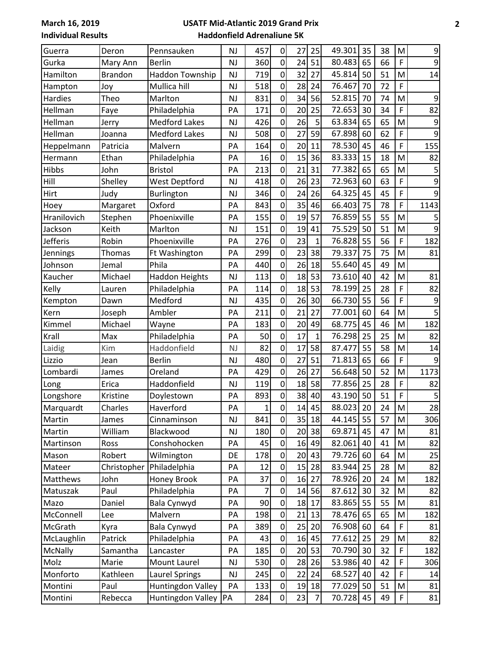## **USATF Mid-Atlantic 2019 Grand Prix Haddonfield Adrenaliune 5K**

| Guerra         | Deron          | Pennsauken               | <b>NJ</b> | 457            | 0              | 27              | 25             | 49.301    | 35 | 38 | M                                                                                                          | 9               |
|----------------|----------------|--------------------------|-----------|----------------|----------------|-----------------|----------------|-----------|----|----|------------------------------------------------------------------------------------------------------------|-----------------|
| Gurka          | Mary Ann       | <b>Berlin</b>            | NJ        | 360            | 0              | 24              | 51             | 80.483    | 65 | 66 | F                                                                                                          | 9               |
| Hamilton       | <b>Brandon</b> | Haddon Township          | <b>NJ</b> | 719            | $\overline{0}$ | 32              | 27             | 45.814    | 50 | 51 | M                                                                                                          | 14              |
| Hampton        | Joy            | Mullica hill             | <b>NJ</b> | 518            | $\overline{0}$ | 28              | 24             | 76.467    | 70 | 72 | F                                                                                                          |                 |
| Hardies        | Theo           | Marlton                  | <b>NJ</b> | 831            | $\overline{0}$ | 34              | 56             | 52.815    | 70 | 74 | M                                                                                                          | 9               |
| Hellman        | Faye           | Philadelphia             | PA        | 171            | 0              | 20              | 25             | 72.653    | 30 | 34 | F                                                                                                          | 82              |
| Hellman        | Jerry          | <b>Medford Lakes</b>     | <b>NJ</b> | 426            | $\overline{0}$ | 26              | 5              | 63.834    | 65 | 65 | M                                                                                                          | 9               |
| Hellman        | Joanna         | <b>Medford Lakes</b>     | <b>NJ</b> | 508            | $\overline{0}$ | 27              | 59             | 67.898    | 60 | 62 | F                                                                                                          | 9               |
| Heppelmann     | Patricia       | Malvern                  | PA        | 164            | $\overline{0}$ | 20              | 11             | 78.530    | 45 | 46 | F                                                                                                          | 155             |
| Hermann        | Ethan          | Philadelphia             | PA        | 16             | $\overline{0}$ | 15              | 36             | 83.333    | 15 | 18 | M                                                                                                          | 82              |
| Hibbs          | John           | <b>Bristol</b>           | PA        | 213            | $\overline{0}$ | 21              | 31             | 77.382    | 65 | 65 | M                                                                                                          | 5               |
| Hill           | Shelley        | <b>West Deptford</b>     | <b>NJ</b> | 418            | $\overline{0}$ | 26              | 23             | 72.963    | 60 | 63 | F                                                                                                          | 9               |
| Hirt           | Judy           | Burlington               | <b>NJ</b> | 346            | $\overline{0}$ | 24              | 26             | 64.325    | 45 | 45 | F                                                                                                          | 9               |
| Hoey           | Margaret       | Oxford                   | PA        | 843            | 0              | 35              | 46             | 66.403    | 75 | 78 | F                                                                                                          | 1143            |
| Hranilovich    | Stephen        | Phoenixville             | PA        | 155            | 0              | 19              | 57             | 76.859    | 55 | 55 | M                                                                                                          |                 |
| Jackson        | Keith          | Marlton                  | <b>NJ</b> | 151            | 0              | 19              | 41             | 75.529    | 50 | 51 | M                                                                                                          | 9               |
| Jefferis       | Robin          | Phoenixville             | PA        | 276            | $\overline{0}$ | 23              | $\mathbf{1}$   | 76.828    | 55 | 56 | F                                                                                                          | 182             |
| Jennings       | Thomas         | Ft Washington            | PA        | 299            | $\overline{0}$ | 23              | 38             | 79.337    | 75 | 75 | M                                                                                                          | 81              |
| Johnson        | Jemal          | Phila                    | PA        | 440            | $\overline{0}$ | 26              | 18             | 55.640    | 45 | 49 | M                                                                                                          |                 |
| Kaucher        | Michael        | <b>Haddon Heights</b>    | <b>NJ</b> | 113            | $\overline{0}$ | 18              | 53             | 73.610    | 40 | 42 | M                                                                                                          | 81              |
| Kelly          | Lauren         | Philadelphia             | PA        | 114            | 0              | 18              | 53             | 78.199    | 25 | 28 | F                                                                                                          | 82              |
| Kempton        | Dawn           | Medford                  | <b>NJ</b> | 435            | $\mathbf 0$    | 26              | 30             | 66.730    | 55 | 56 | F                                                                                                          | 9               |
| Kern           | Joseph         | Ambler                   | PA        | 211            | $\overline{0}$ | $\overline{21}$ | 27             | 77.001    | 60 | 64 | M                                                                                                          |                 |
| Kimmel         | Michael        | Wayne                    | PA        | 183            | $\overline{0}$ | 20              | 49             | 68.775    | 45 | 46 | M                                                                                                          | 182             |
| Krall          | Max            | Philadelphia             | PA        | 50             | $\overline{0}$ | 17              | $\mathbf 1$    | 76.298    | 25 | 25 | M                                                                                                          | 82              |
| Laidig         | Kim            | Haddonfield              | <b>NJ</b> | 82             | $\overline{0}$ | 17              | 58             | 87.477    | 55 | 58 | M                                                                                                          | 14              |
| Lizzio         | Jean           | <b>Berlin</b>            | <b>NJ</b> | 480            | $\mathbf 0$    | 27              | 51             | 71.813    | 65 | 66 | F                                                                                                          | 9               |
| Lombardi       | James          | Oreland                  | PA        | 429            | $\overline{0}$ | 26              | 27             | 56.648    | 50 | 52 | M                                                                                                          | 1173            |
| Long           | Erica          | Haddonfield              | <b>NJ</b> | 119            | $\overline{0}$ | 18              | 58             | 77.856    | 25 | 28 | F                                                                                                          | 82              |
| Longshore      | Kristine       | Doylestown               | PA        | 893            | 0              | 38              | 40             | 43.190    | 50 | 51 | F                                                                                                          | 5               |
| Marquardt      | Charles        | Haverford                | PA        | 1              | $\overline{0}$ | 14              | 45             | 88.023 20 |    | 24 | $\mathsf{M}% _{T}=\mathsf{M}_{T}\!\left( a,b\right) ,\ \mathsf{M}_{T}=\mathsf{M}_{T}\!\left( a,b\right) ,$ | $\overline{28}$ |
| Martin         | James          | Cinnaminson              | NJ        | 841            | $\overline{0}$ | 35              | 18             | 44.145 55 |    | 57 | M                                                                                                          | 306             |
| Martin         | William        | Blackwood                | NJ        | 180            | $\overline{0}$ | 20              | 38             | 69.871    | 45 | 47 | M                                                                                                          | 81              |
| Martinson      | Ross           | Conshohocken             | PA        | 45             | $\overline{0}$ |                 | 16 49          | 82.061    | 40 | 41 | M                                                                                                          | 82              |
| Mason          | Robert         | Wilmington               | DE        | 178            | 0              | 20              | 43             | 79.726    | 60 | 64 | M                                                                                                          | 25              |
| Mateer         | Christopher    | Philadelphia             | PA        | 12             | $\overline{0}$ | 15              | 28             | 83.944    | 25 | 28 | M                                                                                                          | 82              |
| Matthews       | John           | <b>Honey Brook</b>       | PA        | 37             | $\Omega$       | 16              | 27             | 78.926    | 20 | 24 | M                                                                                                          | 182             |
| Matuszak       | Paul           | Philadelphia             | PA        | $\overline{7}$ | $\overline{0}$ | 14              | 56             | 87.612    | 30 | 32 | M                                                                                                          | 82              |
| Mazo           | Daniel         | <b>Bala Cynwyd</b>       | РA        | 90             | $\mathbf 0$    | 18              | 17             | 83.865    | 55 | 55 | M                                                                                                          | 81              |
| McConnell      | Lee            | Malvern                  | РA        | 198            | 0              | 21              | 13             | 78.476    | 65 | 65 | M                                                                                                          | 182             |
| McGrath        | Kyra           | <b>Bala Cynwyd</b>       | PA        | 389            | $\overline{0}$ | 25              | 20             | 76.908    | 60 | 64 | $\mathsf F$                                                                                                | 81              |
| McLaughlin     | Patrick        | Philadelphia             | PA        | 43             | $\mathbf 0$    |                 | 16 45          | 77.612    | 25 | 29 | M                                                                                                          | 82              |
| <b>McNally</b> | Samantha       | Lancaster                | PA        | 185            | $\overline{0}$ | 20              | 53             | 70.790    | 30 | 32 | F                                                                                                          | 182             |
| Molz           | Marie          | Mount Laurel             | <b>NJ</b> | 530            | $\overline{0}$ | 28              | 26             | 53.986    | 40 | 42 | F                                                                                                          | 306             |
| Monforto       | Kathleen       | <b>Laurel Springs</b>    | NJ        | 245            | $\overline{0}$ | 22              | 24             | 68.527    | 40 | 42 | F                                                                                                          | 14              |
| Montini        | Paul           | <b>Huntingdon Valley</b> | PA        | 133            | $\overline{0}$ | 19              | 18             | 77.029    | 50 | 51 | M                                                                                                          | 81              |
| Montini        | Rebecca        | Huntingdon Valley PA     |           | 284            | $\overline{0}$ | 23              | $\overline{7}$ | 70.728    | 45 | 49 | F                                                                                                          | 81              |
|                |                |                          |           |                |                |                 |                |           |    |    |                                                                                                            |                 |